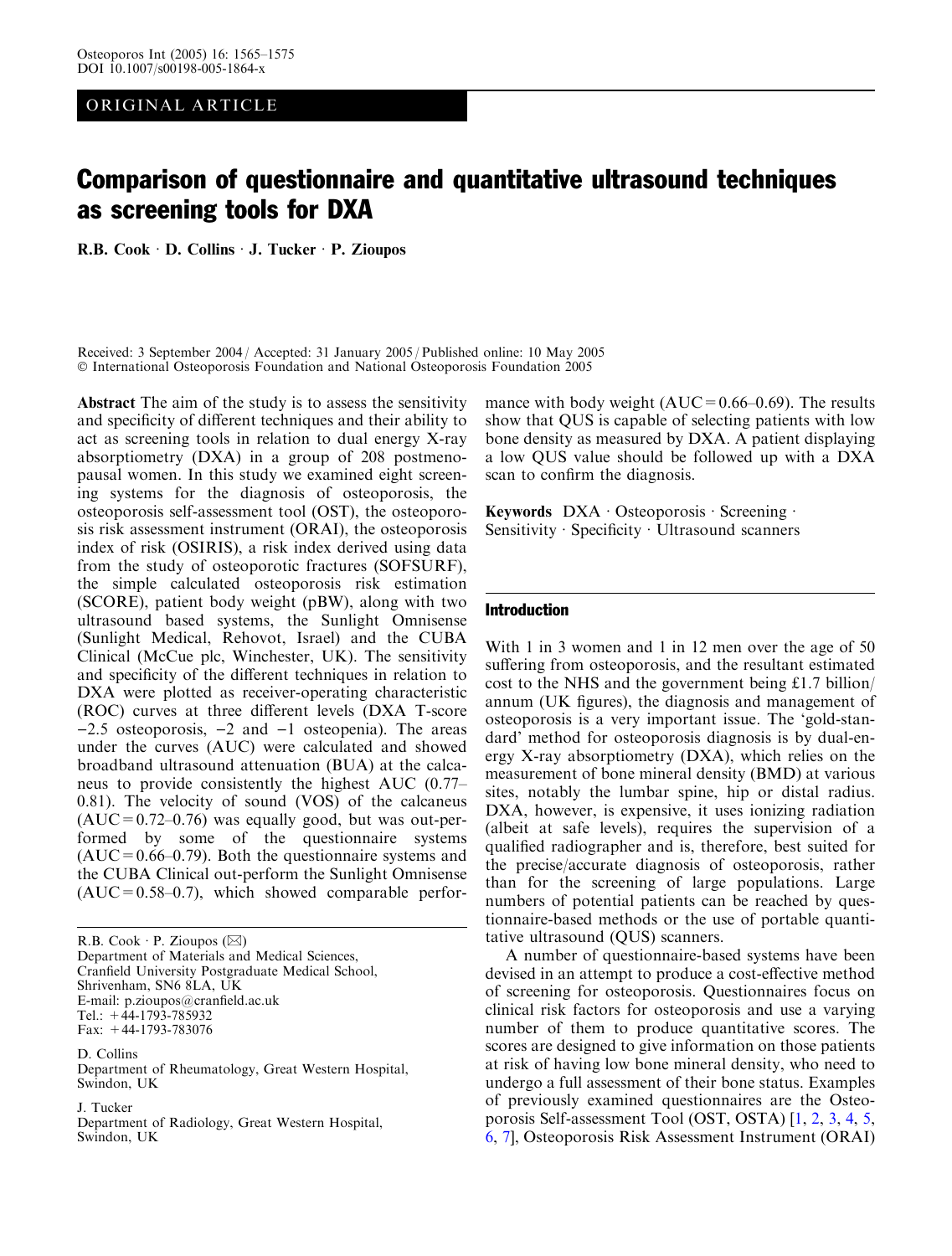# ORIGINAL ARTICLE

# Comparison of questionnaire and quantitative ultrasound techniques as screening tools for DXA

R.B. Cook  $\cdot$  D. Collins  $\cdot$  J. Tucker  $\cdot$  P. Zioupos

Received: 3 September 2004 / Accepted: 31 January 2005 / Published online: 10 May 2005 International Osteoporosis Foundation and National Osteoporosis Foundation 2005

Abstract The aim of the study is to assess the sensitivity and specificity of different techniques and their ability to act as screening tools in relation to dual energy X-ray absorptiometry (DXA) in a group of 208 postmenopausal women. In this study we examined eight screening systems for the diagnosis of osteoporosis, the osteoporosis self-assessment tool (OST), the osteoporosis risk assessment instrument (ORAI), the osteoporosis index of risk (OSIRIS), a risk index derived using data from the study of osteoporotic fractures (SOFSURF), the simple calculated osteoporosis risk estimation (SCORE), patient body weight (pBW), along with two ultrasound based systems, the Sunlight Omnisense (Sunlight Medical, Rehovot, Israel) and the CUBA Clinical (McCue plc, Winchester, UK). The sensitivity and specificity of the different techniques in relation to DXA were plotted as receiver-operating characteristic (ROC) curves at three different levels (DXA T-score  $-2.5$  osteoporosis,  $-2$  and  $-1$  osteopenia). The areas under the curves (AUC) were calculated and showed broadband ultrasound attenuation (BUA) at the calcaneus to provide consistently the highest AUC (0.77– 0.81). The velocity of sound (VOS) of the calcaneus  $(AUC=0.72-0.76)$  was equally good, but was out-performed by some of the questionnaire systems  $(AUC=0.66-0.79)$ . Both the questionnaire systems and the CUBA Clinical out-perform the Sunlight Omnisense  $(AUC=0.58-0.7)$ , which showed comparable perfor-

R.B. Cook  $\cdot$  P. Zioupos ( $\boxtimes$ ) Department of Materials and Medical Sciences, Cranfield University Postgraduate Medical School, Shrivenham, SN6 8LA, UK E-mail: p.zioupos@cranfield.ac.uk Tel.:  $+\overline{44} - 179\overline{3} - 78\overline{5}932$ Fax: +44-1793-783076

D. Collins Department of Rheumatology, Great Western Hospital, Swindon, UK

J. Tucker Department of Radiology, Great Western Hospital, Swindon, UK

mance with body weight  $(AUC=0.66-0.69)$ . The results show that QUS is capable of selecting patients with low bone density as measured by DXA. A patient displaying a low QUS value should be followed up with a DXA scan to confirm the diagnosis.

Keywords  $DXA \cdot Osteoporosis \cdot Screening \cdot$ Sensitivity  $\cdot$  Specificity  $\cdot$  Ultrasound scanners

#### Introduction

With 1 in 3 women and 1 in 12 men over the age of 50 suffering from osteoporosis, and the resultant estimated cost to the NHS and the government being £1.7 billion/ annum (UK figures), the diagnosis and management of osteoporosis is a very important issue. The 'gold-standard' method for osteoporosis diagnosis is by dual-energy X-ray absorptiometry (DXA), which relies on the measurement of bone mineral density (BMD) at various sites, notably the lumbar spine, hip or distal radius. DXA, however, is expensive, it uses ionizing radiation (albeit at safe levels), requires the supervision of a qualified radiographer and is, therefore, best suited for the precise/accurate diagnosis of osteoporosis, rather than for the screening of large populations. Large numbers of potential patients can be reached by questionnaire-based methods or the use of portable quantitative ultrasound (QUS) scanners.

A number of questionnaire-based systems have been devised in an attempt to produce a cost-effective method of screening for osteoporosis. Questionnaires focus on clinical risk factors for osteoporosis and use a varying number of them to produce quantitative scores. The scores are designed to give information on those patients at risk of having low bone mineral density, who need to undergo a full assessment of their bone status. Examples of previously examined questionnaires are the Osteoporosis Self-assessment Tool (OST, OSTA) [[1,](#page-9-0) [2](#page-9-0), [3,](#page-9-0) [4,](#page-9-0) [5](#page-9-0), [6](#page-9-0), [7](#page-9-0)], Osteoporosis Risk Assessment Instrument (ORAI)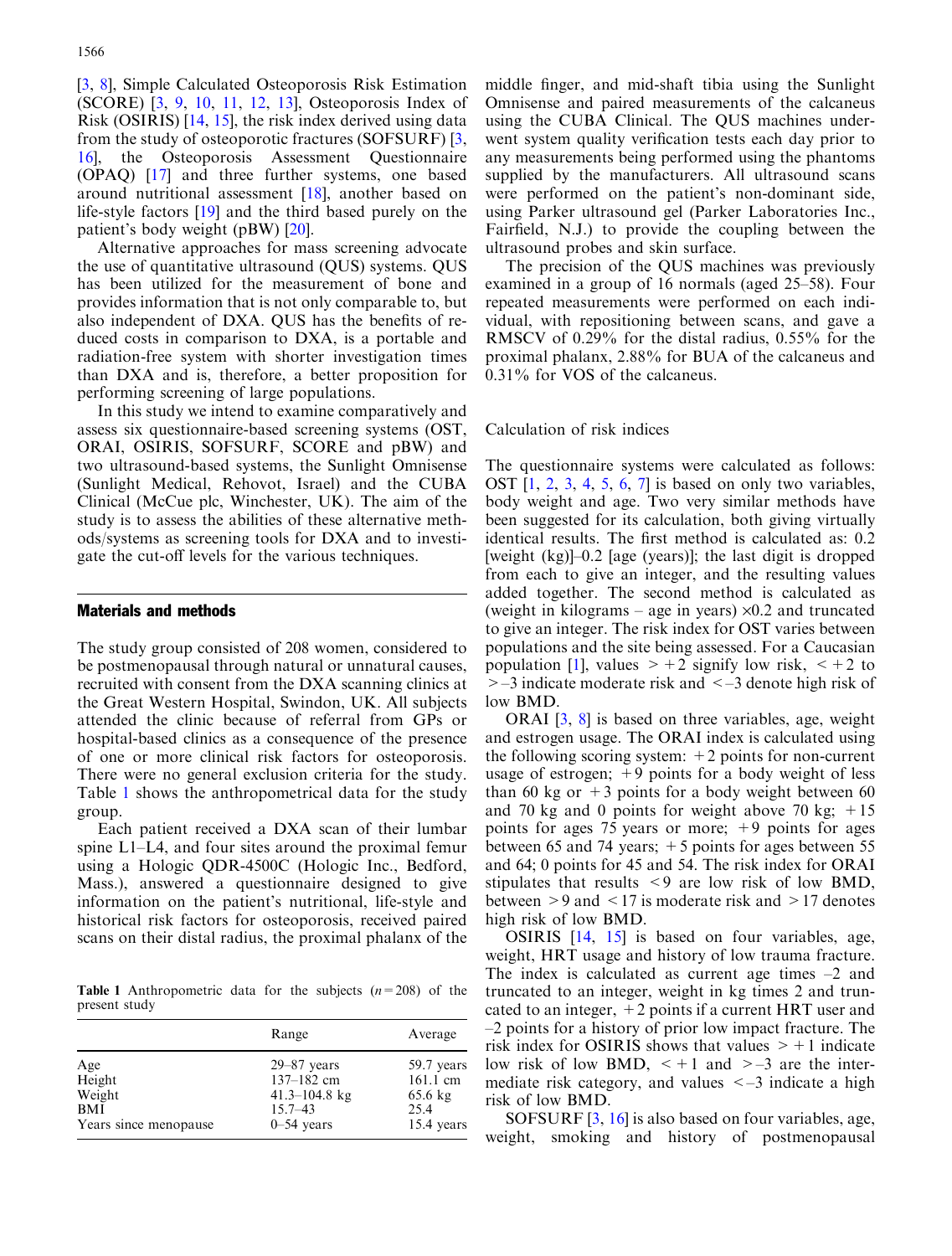[[3](#page-9-0), [8\]](#page-9-0), Simple Calculated Osteoporosis Risk Estimation (SCORE) [\[3](#page-9-0), [9,](#page-9-0) [10,](#page-9-0) [11,](#page-9-0) [12](#page-9-0), [13](#page-9-0)], Osteoporosis Index of Risk (OSIRIS) [[14,](#page-9-0) [15](#page-9-0)], the risk index derived using data from the study of osteoporotic fractures (SOFSURF) [\[3](#page-9-0), [16](#page-9-0)], the Osteoporosis Assessment Questionnaire (OPAQ) [\[17](#page-9-0)] and three further systems, one based around nutritional assessment [\[18](#page-9-0)], another based on life-style factors [[19\]](#page-9-0) and the third based purely on the patient's body weight (pBW) [[20](#page-9-0)].

Alternative approaches for mass screening advocate the use of quantitative ultrasound (QUS) systems. QUS has been utilized for the measurement of bone and provides information that is not only comparable to, but also independent of DXA. QUS has the benefits of reduced costs in comparison to DXA, is a portable and radiation-free system with shorter investigation times than DXA and is, therefore, a better proposition for performing screening of large populations.

In this study we intend to examine comparatively and assess six questionnaire-based screening systems (OST, ORAI, OSIRIS, SOFSURF, SCORE and pBW) and two ultrasound-based systems, the Sunlight Omnisense (Sunlight Medical, Rehovot, Israel) and the CUBA Clinical (McCue plc, Winchester, UK). The aim of the study is to assess the abilities of these alternative methods/systems as screening tools for DXA and to investigate the cut-off levels for the various techniques.

#### Materials and methods

The study group consisted of 208 women, considered to be postmenopausal through natural or unnatural causes, recruited with consent from the DXA scanning clinics at the Great Western Hospital, Swindon, UK. All subjects attended the clinic because of referral from GPs or hospital-based clinics as a consequence of the presence of one or more clinical risk factors for osteoporosis. There were no general exclusion criteria for the study. Table 1 shows the anthropometrical data for the study group.

Each patient received a DXA scan of their lumbar spine L1–L4, and four sites around the proximal femur using a Hologic QDR-4500C (Hologic Inc., Bedford, Mass.), answered a questionnaire designed to give information on the patient's nutritional, life-style and historical risk factors for osteoporosis, received paired scans on their distal radius, the proximal phalanx of the

**Table 1** Anthropometric data for the subjects  $(n=208)$  of the present study

|                       | Range             | Average            |
|-----------------------|-------------------|--------------------|
| Age                   | $29 - 87$ years   | 59.7 years         |
| Height                | $137 - 182$ cm    | $161.1 \text{ cm}$ |
| Weight                | $41.3 - 104.8$ kg | $65.6 \text{ kg}$  |
| <b>BMI</b>            | $15.7 - 43$       | 25.4               |
| Years since menopause | $0-54$ years      | 15.4 years         |

middle finger, and mid-shaft tibia using the Sunlight Omnisense and paired measurements of the calcaneus using the CUBA Clinical. The QUS machines underwent system quality verification tests each day prior to any measurements being performed using the phantoms supplied by the manufacturers. All ultrasound scans were performed on the patient's non-dominant side, using Parker ultrasound gel (Parker Laboratories Inc., Fairfield, N.J.) to provide the coupling between the ultrasound probes and skin surface.

The precision of the QUS machines was previously examined in a group of 16 normals (aged 25–58). Four repeated measurements were performed on each individual, with repositioning between scans, and gave a RMSCV of 0.29% for the distal radius, 0.55% for the proximal phalanx, 2.88% for BUA of the calcaneus and 0.31% for VOS of the calcaneus.

## Calculation of risk indices

The questionnaire systems were calculated as follows: OST  $[1, 2, 3, 4, 5, 6, 7]$  $[1, 2, 3, 4, 5, 6, 7]$  $[1, 2, 3, 4, 5, 6, 7]$  $[1, 2, 3, 4, 5, 6, 7]$  $[1, 2, 3, 4, 5, 6, 7]$  $[1, 2, 3, 4, 5, 6, 7]$  $[1, 2, 3, 4, 5, 6, 7]$  $[1, 2, 3, 4, 5, 6, 7]$  $[1, 2, 3, 4, 5, 6, 7]$  $[1, 2, 3, 4, 5, 6, 7]$  $[1, 2, 3, 4, 5, 6, 7]$  $[1, 2, 3, 4, 5, 6, 7]$  $[1, 2, 3, 4, 5, 6, 7]$  $[1, 2, 3, 4, 5, 6, 7]$  is based on only two variables, body weight and age. Two very similar methods have been suggested for its calculation, both giving virtually identical results. The first method is calculated as: 0.2 [weight (kg)]–0.2 [age (years)]; the last digit is dropped from each to give an integer, and the resulting values added together. The second method is calculated as (weight in kilograms – age in years)  $\times$ 0.2 and truncated to give an integer. The risk index for OST varies between populations and the site being assessed. For a Caucasian population [[1\]](#page-9-0), values  $> +2$  signify low risk,  $< +2$  to >–3 indicate moderate risk and <–3 denote high risk of low BMD.

ORAI [[3](#page-9-0), [8\]](#page-9-0) is based on three variables, age, weight and estrogen usage. The ORAI index is calculated using the following scoring system:  $+2$  points for non-current usage of estrogen;  $+9$  points for a body weight of less than 60 kg or  $+3$  points for a body weight between 60 and 70 kg and 0 points for weight above 70 kg;  $+15$ points for ages 75 years or more;  $+9$  points for ages between 65 and 74 years;  $+5$  points for ages between 55 and 64; 0 points for 45 and 54. The risk index for ORAI stipulates that results  $\leq 9$  are low risk of low BMD, between  $> 9$  and  $< 17$  is moderate risk and  $> 17$  denotes high risk of low BMD.

OSIRIS [\[14,](#page-9-0) [15\]](#page-9-0) is based on four variables, age, weight, HRT usage and history of low trauma fracture. The index is calculated as current age times  $-2$  and truncated to an integer, weight in kg times 2 and truncated to an integer,  $+2$  points if a current HRT user and –2 points for a history of prior low impact fracture. The risk index for OSIRIS shows that values  $> +1$  indicate low risk of low BMD,  $\lt +1$  and  $\gt -3$  are the intermediate risk category, and values <–3 indicate a high risk of low BMD.

SOFSURF [[3](#page-9-0), [16](#page-9-0)] is also based on four variables, age, weight, smoking and history of postmenopausal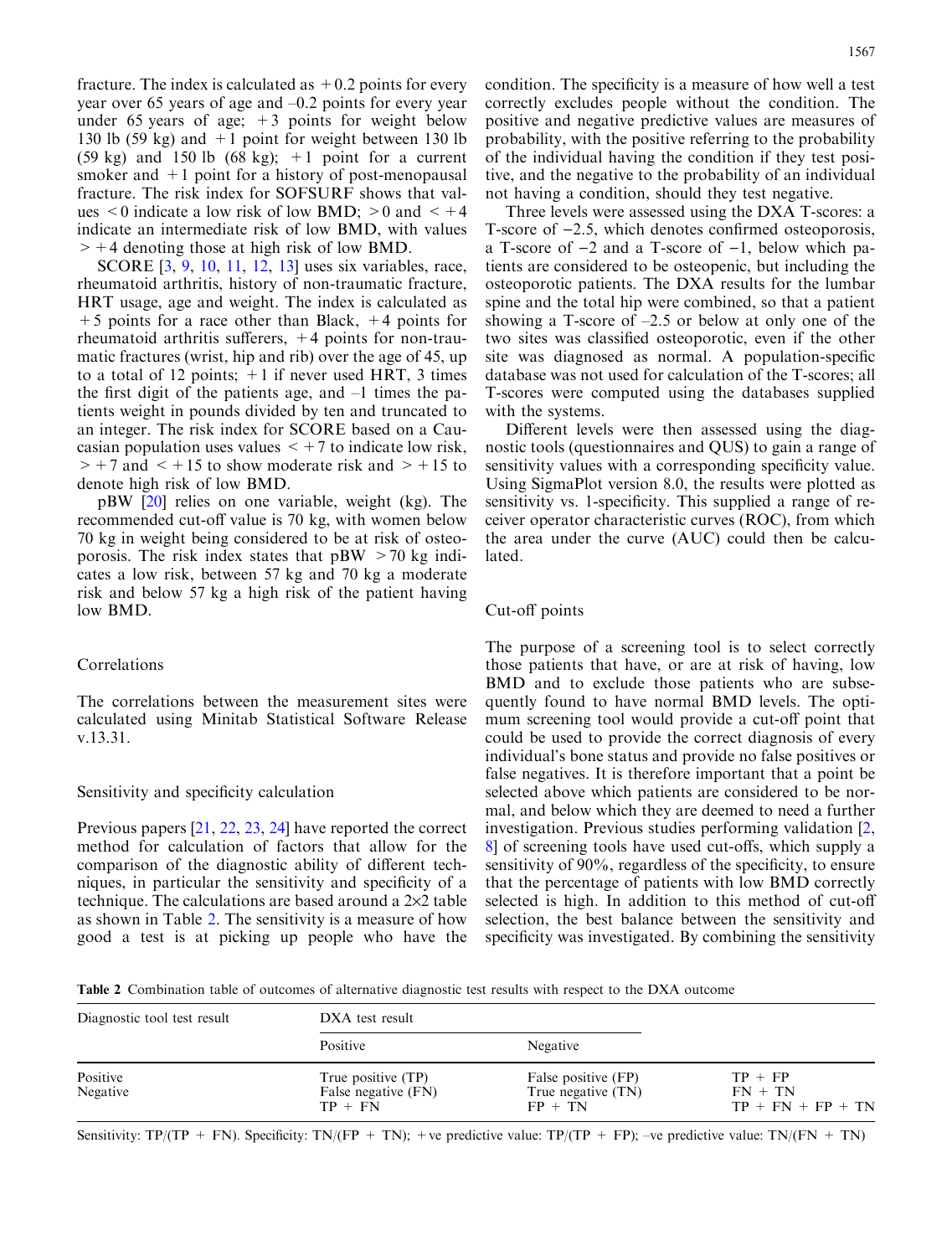fracture. The index is calculated as  $+0.2$  points for every year over 65 years of age and –0.2 points for every year under 65 years of age;  $+3$  points for weight below 130 lb (59 kg) and  $+1$  point for weight between 130 lb (59 kg) and 150 lb (68 kg);  $+1$  point for a current smoker and  $+1$  point for a history of post-menopausal fracture. The risk index for SOFSURF shows that values  $\leq 0$  indicate a low risk of low BMD;  $\geq 0$  and  $\leq +4$ indicate an intermediate risk of low BMD, with values  $> +4$  denoting those at high risk of low BMD.

SCORE [\[3](#page-9-0), [9,](#page-9-0) [10](#page-9-0), [11](#page-9-0), [12,](#page-9-0) [13](#page-9-0)] uses six variables, race, rheumatoid arthritis, history of non-traumatic fracture, HRT usage, age and weight. The index is calculated as  $+5$  points for a race other than Black,  $+4$  points for rheumatoid arthritis sufferers,  $+4$  points for non-traumatic fractures (wrist, hip and rib) over the age of 45, up to a total of 12 points;  $+1$  if never used HRT, 3 times the first digit of the patients age, and  $-1$  times the patients weight in pounds divided by ten and truncated to an integer. The risk index for SCORE based on a Caucasian population uses values  $\leq$  +7 to indicate low risk.  $>$  + 7 and  $<$  + 15 to show moderate risk and  $>$  + 15 to denote high risk of low BMD.

pBW [\[20](#page-9-0)] relies on one variable, weight (kg). The recommended cut-off value is 70 kg, with women below 70 kg in weight being considered to be at risk of osteoporosis. The risk index states that  $pBW > 70$  kg indicates a low risk, between 57 kg and 70 kg a moderate risk and below 57 kg a high risk of the patient having low BMD.

## Correlations

The correlations between the measurement sites were calculated using Minitab Statistical Software Release v.13.31.

#### Sensitivity and specificity calculation

Previous papers [[21](#page-9-0), [22,](#page-9-0) [23,](#page-10-0) [24](#page-10-0)] have reported the correct method for calculation of factors that allow for the comparison of the diagnostic ability of different techniques, in particular the sensitivity and specificity of a technique. The calculations are based around a  $2\times 2$  table as shown in Table 2. The sensitivity is a measure of how good a test is at picking up people who have the condition. The specificity is a measure of how well a test correctly excludes people without the condition. The positive and negative predictive values are measures of probability, with the positive referring to the probability of the individual having the condition if they test positive, and the negative to the probability of an individual not having a condition, should they test negative.

Three levels were assessed using the DXA T-scores: a T-score of  $-2.5$ , which denotes confirmed osteoporosis, a T-score of  $-2$  and a T-score of  $-1$ , below which patients are considered to be osteopenic, but including the osteoporotic patients. The DXA results for the lumbar spine and the total hip were combined, so that a patient showing a T-score of  $-2.5$  or below at only one of the two sites was classified osteoporotic, even if the other site was diagnosed as normal. A population-specific database was not used for calculation of the T-scores; all T-scores were computed using the databases supplied with the systems.

Different levels were then assessed using the diagnostic tools (questionnaires and QUS) to gain a range of sensitivity values with a corresponding specificity value. Using SigmaPlot version 8.0, the results were plotted as sensitivity vs. 1-specificity. This supplied a range of receiver operator characteristic curves (ROC), from which the area under the curve (AUC) could then be calculated.

## Cut-off points

The purpose of a screening tool is to select correctly those patients that have, or are at risk of having, low BMD and to exclude those patients who are subsequently found to have normal BMD levels. The optimum screening tool would provide a cut-off point that could be used to provide the correct diagnosis of every individual's bone status and provide no false positives or false negatives. It is therefore important that a point be selected above which patients are considered to be normal, and below which they are deemed to need a further investigation. Previous studies performing validation [\[2](#page-9-0), [8](#page-9-0)] of screening tools have used cut-offs, which supply a sensitivity of 90%, regardless of the specificity, to ensure that the percentage of patients with low BMD correctly selected is high. In addition to this method of cut-off selection, the best balance between the sensitivity and specificity was investigated. By combining the sensitivity

Table 2 Combination table of outcomes of alternative diagnostic test results with respect to the DXA outcome

| Diagnostic tool test result | DXA test result                                        |                                                        |                                               |
|-----------------------------|--------------------------------------------------------|--------------------------------------------------------|-----------------------------------------------|
|                             | Positive                                               | Negative                                               |                                               |
| Positive<br>Negative        | True positive (TP)<br>False negative (FN)<br>$TP + FN$ | False positive (FP)<br>True negative (TN)<br>$FP + TN$ | $TP + FP$<br>$FN + TN$<br>$TP + FN + FP + TN$ |

Sensitivity: TP/(TP + FN). Specificity: TN/(FP + TN); +ve predictive value: TP/(TP + FP); -ve predictive value: TN/(FN + TN)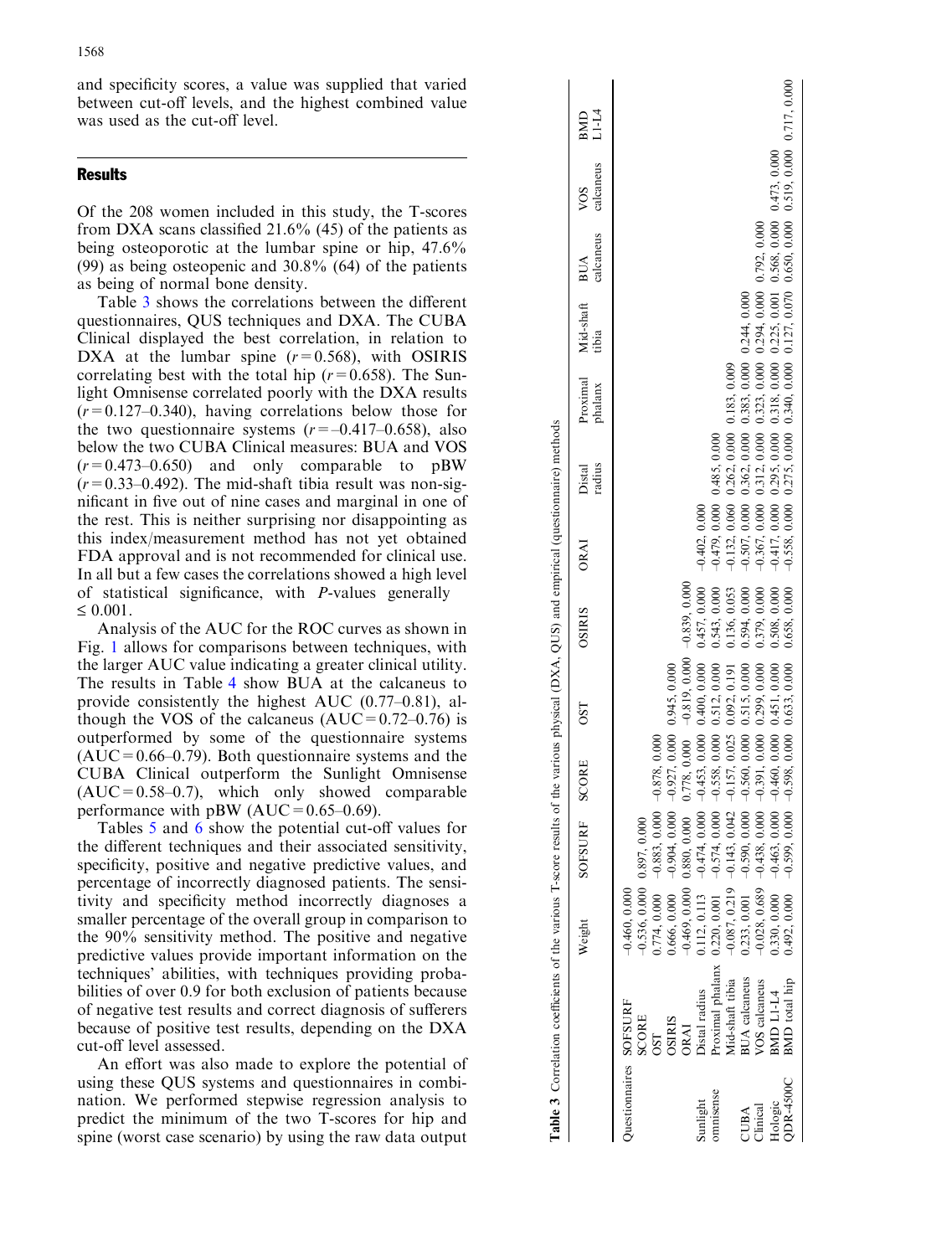and specificity scores, a value was supplied that varied between cut-off levels, and the highest combined value was used as the cut-off level.

## Results

Of the 208 women included in this study, the T-scores from DXA scans classified  $21.6\%$  (45) of the patients as being osteoporotic at the lumbar spine or hip, 47.6% (99) as being osteopenic and 30.8% (64) of the patients as being of normal bone density.

Table 3 shows the correlations between the different questionnaires, QUS techniques and DXA. The CUBA Clinical displayed the best correlation, in relation to DXA at the lumbar spine  $(r=0.568)$ , with OSIRIS correlating best with the total hip  $(r=0.658)$ . The Sunlight Omnisense correlated poorly with the DXA results  $(r=0.127-0.340)$ , having correlations below those for the two questionnaire systems  $(r = -0.417 - 0.658)$ , also below the two CUBA Clinical measures: BUA and VOS  $(r=0.473-0.650)$  and only comparable to pBW  $(r=0.33-0.492)$ . The mid-shaft tibia result was non-significant in five out of nine cases and marginal in one of the rest. This is neither surprising nor disappointing as this index/measurement method has not yet obtained FDA approval and is not recommended for clinical use. In all but a few cases the correlations showed a high level of statistical significance, with P-values generally  $\leq 0.001$ .

Analysis of the AUC for the ROC curves as shown in Fig. 1 [allows for comparisons between techniques, with](#page-4-0) [the larger AUC value indicating a greater clinical utility.](#page-4-0) The results in Table 4 [show BUA at the calcaneus to](#page-5-0) [provide consistently the highest AUC \(0.77–0.81\), al](#page-5-0)though the VOS of the calcaneus  $(AUC=0.72-0.76)$  is [outperformed by some of the questionnaire systems](#page-5-0)  $(AUC=0.66-0.79)$ . Both questionnaire systems and the [CUBA Clinical outperform the Sunlight Omnisense](#page-5-0)  $(AUC=0.58-0.7)$ , which only showed comparable performance with pBW ( $AUC=0.65-0.69$ ).

Tables 5 and 6 [show the potential cut-off values for](#page-7-0) [the different techniques and their associated sensitivity,](#page-7-0) [specificity, positive and negative predictive values, and](#page-7-0) [percentage of incorrectly diagnosed patients. The sensi](#page-7-0)[tivity and specificity method incorrectly diagnoses a](#page-7-0) [smaller percentage of the overall group in comparison to](#page-7-0) [the 90% sensitivity method. The positive and negative](#page-7-0) [predictive values provide important information on the](#page-7-0) [techniques' abilities, with techniques providing proba](#page-7-0)[bilities of over 0.9 for both exclusion of patients because](#page-7-0) [of negative test results and correct diagnosis of sufferers](#page-7-0) [because of positive test results, depending on the DXA](#page-7-0) [cut-off level assessed.](#page-7-0)

An effort was also made to explore the potential of using these QUS systems and questionnaires in combination. We performed stepwise regression analysis to predict the minimum of the two T-scores for hip and spine (worst case scenario) by using the raw data output

|                                                                                                       | Table 3 Correlation coefficients of the various T-score results of the various physical (DXA, QUS) and empirical (questionnaire) methods                                                                |                                                                                                                                                                                       |                                                                                                                                                                                                                                                                                                 |                                                                                               |                                                                                                                                                                            |                                                                                                                    |                                                                                                             |                                              |                                                                                                                                                                                                             |                                               |                                          |                  |                       |
|-------------------------------------------------------------------------------------------------------|---------------------------------------------------------------------------------------------------------------------------------------------------------------------------------------------------------|---------------------------------------------------------------------------------------------------------------------------------------------------------------------------------------|-------------------------------------------------------------------------------------------------------------------------------------------------------------------------------------------------------------------------------------------------------------------------------------------------|-----------------------------------------------------------------------------------------------|----------------------------------------------------------------------------------------------------------------------------------------------------------------------------|--------------------------------------------------------------------------------------------------------------------|-------------------------------------------------------------------------------------------------------------|----------------------------------------------|-------------------------------------------------------------------------------------------------------------------------------------------------------------------------------------------------------------|-----------------------------------------------|------------------------------------------|------------------|-----------------------|
|                                                                                                       |                                                                                                                                                                                                         | Weight                                                                                                                                                                                | SOFSURF                                                                                                                                                                                                                                                                                         | SCORE                                                                                         | CST                                                                                                                                                                        | <b>OSIRIS</b>                                                                                                      | <b>ORAI</b>                                                                                                 | radius<br>Distal                             | Proximal<br>phalanx                                                                                                                                                                                         | Mid-shaft<br>tibia                            | calcaneus<br><b>BUA</b>                  | calcaneus<br>VOS | $L1-L4$<br><b>BMD</b> |
| puestionnaires SOFSURF<br><b>QDR4500C</b><br>ommsense<br>unlight<br>Hologic<br><b>linical</b><br>CUBA | Proximal phalanx<br><b>BUA</b> calcaneus<br>Mid-shaft tibia<br><b>BMD</b> total hip<br><b>VOS</b> calcaneus<br>Distal radius<br>BMD L1-L4<br><b>SCORE</b><br><b>OSIRIS</b><br><b>DRAI</b><br><b>DST</b> | $-0.536, 0.000$ 0.897, 0.000<br>0.000 1.774, 0.000<br>$-0.469, 0.000$<br>0.000 1.492, 0.000<br>0.233, 0.001<br>0.000, 0.330, 0.000<br>0.112, 0.113<br>0.220, 0.001<br>$-0.460, 0.000$ | $-0.666, 0.000$ $-0.904, 0.000$ $-0.927, 0.000$ $0.945, 0.000$<br>0.880, 0.000 0.778, 0.000<br>$-0.574, 0.000 - 0$<br>$-0.590, 0.000$<br>$-0.00000$ $-0.88$ , 0.689 $-0.00000$<br>$-0.599, 0.000 - 0$<br>$-0.474, 0.000$<br>$-0.463, 0.000$<br>$-0.087, 0.219 -0.143, 0.042$<br>$-0.883, 0.000$ | .460, 0.000<br>.560, 0.000<br>$-0.453, 0.000$<br>.558, 0.000<br>$-0.157, 0.025$<br>878, 0.000 | $-0.819, 0.000 -0.839, 0.000$<br>0.400, 0.000<br>0.451, 0.000<br>.598, 0.000 0.633, 0.000<br>0.515, 0.000<br>0.512, 0.000<br>$0.391, 0.000$ $0.299, 0.000$<br>0.092, 0.191 | 0.000 1457,<br>0.508, 0.000<br>0.000 1.543,<br>1.136, 0.053<br>0.594, 0.000<br>0.000, 0.379, 0.000<br>0.658, 0.000 | $-0.479, 0.000$<br>$-0.417, 0.000$<br>$-0.558, 0.000$<br>0.132, 0.060<br>$-0.507, 0.000$<br>$-0.402, 0.000$ | 0.262, 0.000<br>0.362, 0.000<br>0.485, 0.000 | $0.275, 0.000$ $0.340, 0.000$ $0.127, 0.070$ $0.650, 0.000$ $0.519, 0.000$ $0.717, 0.000$<br>0.383, 0.000<br>$-0.367, 0.000$ $0.312, 0.000$ $0.323, 0.000$<br>$0.295, 0.000$ $0.318, 0.000$<br>0.183, 0.009 | $0.294, 0.000$ $0.792, 0.000$<br>0.244, 0.000 | $0.225, 0.001$ 0.568, 0.000 0.473, 0.000 |                  |                       |
|                                                                                                       |                                                                                                                                                                                                         |                                                                                                                                                                                       |                                                                                                                                                                                                                                                                                                 |                                                                                               |                                                                                                                                                                            |                                                                                                                    |                                                                                                             |                                              |                                                                                                                                                                                                             |                                               |                                          |                  |                       |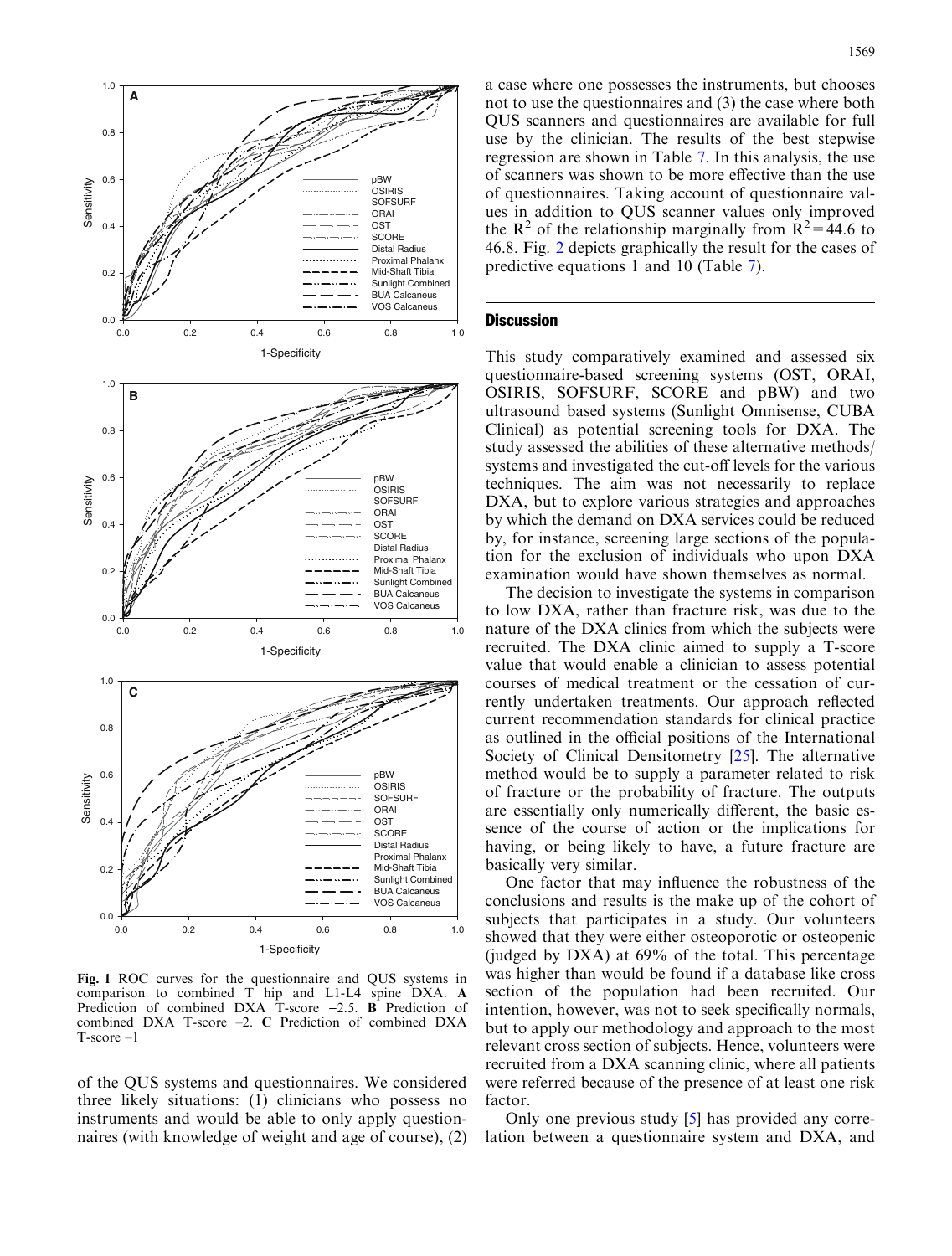<span id="page-4-0"></span>

Fig. 1 ROC curves for the questionnaire and QUS systems in comparison to combined T hip and L1-L4 spine DXA. A Prediction of combined DXA T-score  $-2.5$ . B Prediction of combined DXA T-score –2. C Prediction of combined DXA T-score –1

of the QUS systems and questionnaires. We considered three likely situations: (1) clinicians who possess no instruments and would be able to only apply questionnaires (with knowledge of weight and age of course), (2) a case where one possesses the instruments, but chooses not to use the questionnaires and (3) the case where both QUS scanners and questionnaires are available for full use by the clinician. The results of the best stepwise regression are shown in Table [7. In this analysis, the use](#page-8-0) [of scanners was shown to be more effective than the use](#page-8-0) [of questionnaires. Taking account of questionnaire val](#page-8-0)[ues in addition to QUS scanner values only improved](#page-8-0) [the](#page-8-0) [R](#page-8-0)<sup>2</sup> [of](#page-8-0) the [relationship](#page-8-0) [marginally](#page-8-0) [from](#page-8-0)  $R^2 = 44.6$  to 46.8. Fig. 2 [depicts graphically the result for the cases of](#page-8-0) [predictive equations 1 and 10 \(Table](#page-8-0) 7).

#### **Discussion**

This study comparatively examined and assessed six questionnaire-based screening systems (OST, ORAI, OSIRIS, SOFSURF, SCORE and pBW) and two ultrasound based systems (Sunlight Omnisense, CUBA Clinical) as potential screening tools for DXA. The study assessed the abilities of these alternative methods/ systems and investigated the cut-off levels for the various techniques. The aim was not necessarily to replace DXA, but to explore various strategies and approaches by which the demand on DXA services could be reduced by, for instance, screening large sections of the population for the exclusion of individuals who upon DXA examination would have shown themselves as normal.

The decision to investigate the systems in comparison to low DXA, rather than fracture risk, was due to the nature of the DXA clinics from which the subjects were recruited. The DXA clinic aimed to supply a T-score value that would enable a clinician to assess potential courses of medical treatment or the cessation of currently undertaken treatments. Our approach reflected current recommendation standards for clinical practice as outlined in the official positions of the International Society of Clinical Densitometry [[25\]](#page-10-0). The alternative method would be to supply a parameter related to risk of fracture or the probability of fracture. The outputs are essentially only numerically different, the basic essence of the course of action or the implications for having, or being likely to have, a future fracture are basically very similar.

One factor that may influence the robustness of the conclusions and results is the make up of the cohort of subjects that participates in a study. Our volunteers showed that they were either osteoporotic or osteopenic (judged by DXA) at 69% of the total. This percentage was higher than would be found if a database like cross section of the population had been recruited. Our intention, however, was not to seek specifically normals, but to apply our methodology and approach to the most relevant cross section of subjects. Hence, volunteers were recruited from a DXA scanning clinic, where all patients were referred because of the presence of at least one risk factor.

Only one previous study [\[5](#page-9-0)] has provided any correlation between a questionnaire system and DXA, and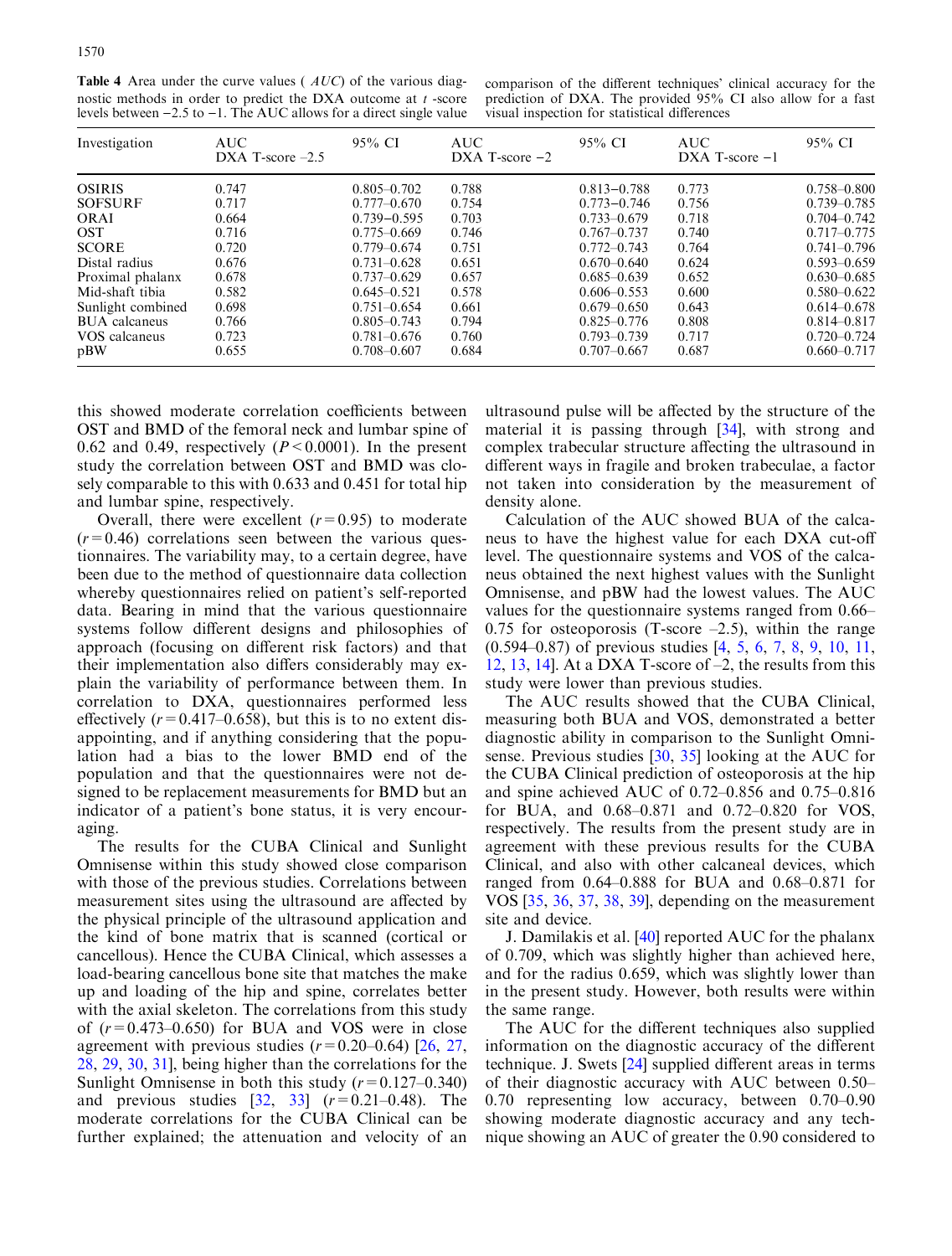comparison of the different techniques' clinical accuracy for the prediction of DXA. The provided 95% CI also allow for a fast visual inspection for statistical differences

<span id="page-5-0"></span>

| Investigation        | <b>AUC</b><br>DXA T-score $-2.5$ | 95% CI          | <b>AUC</b><br>DXA T-score $-2$ | 95% CI          | <b>AUC</b><br>$DXA$ T-score $-1$ | 95% CI          |
|----------------------|----------------------------------|-----------------|--------------------------------|-----------------|----------------------------------|-----------------|
| <b>OSIRIS</b>        | 0.747                            | $0.805 - 0.702$ | 0.788                          | $0.813 - 0.788$ | 0.773                            | $0.758 - 0.800$ |
| <b>SOFSURF</b>       | 0.717                            | $0.777 - 0.670$ | 0.754                          | $0.773 - 0.746$ | 0.756                            | $0.739 - 0.785$ |
| ORAI                 | 0.664                            | $0.739 - 0.595$ | 0.703                          | $0.733 - 0.679$ | 0.718                            | $0.704 - 0.742$ |
| <b>OST</b>           | 0.716                            | $0.775 - 0.669$ | 0.746                          | $0.767 - 0.737$ | 0.740                            | $0.717 - 0.775$ |
| <b>SCORE</b>         | 0.720                            | $0.779 - 0.674$ | 0.751                          | $0.772 - 0.743$ | 0.764                            | $0.741 - 0.796$ |
| Distal radius        | 0.676                            | $0.731 - 0.628$ | 0.651                          | $0.670 - 0.640$ | 0.624                            | $0.593 - 0.659$ |
| Proximal phalanx     | 0.678                            | $0.737 - 0.629$ | 0.657                          | $0.685 - 0.639$ | 0.652                            | $0.630 - 0.685$ |
| Mid-shaft tibia      | 0.582                            | $0.645 - 0.521$ | 0.578                          | $0.606 - 0.553$ | 0.600                            | $0.580 - 0.622$ |
| Sunlight combined    | 0.698                            | $0.751 - 0.654$ | 0.661                          | $0.679 - 0.650$ | 0.643                            | $0.614 - 0.678$ |
| <b>BUA</b> calcaneus | 0.766                            | $0.805 - 0.743$ | 0.794                          | $0.825 - 0.776$ | 0.808                            | $0.814 - 0.817$ |
| VOS calcaneus        | 0.723                            | $0.781 - 0.676$ | 0.760                          | $0.793 - 0.739$ | 0.717                            | $0.720 - 0.724$ |
| pBW                  | 0.655                            | $0.708 - 0.607$ | 0.684                          | $0.707 - 0.667$ | 0.687                            | $0.660 - 0.717$ |

this showed moderate correlation coefficients between OST and BMD of the femoral neck and lumbar spine of 0.62 and 0.49, respectively  $(P<0.0001)$ . In the present study the correlation between OST and BMD was closely comparable to this with 0.633 and 0.451 for total hip and lumbar spine, respectively.

Overall, there were excellent  $(r=0.95)$  to moderate  $(r=0.46)$  correlations seen between the various questionnaires. The variability may, to a certain degree, have been due to the method of questionnaire data collection whereby questionnaires relied on patient's self-reported data. Bearing in mind that the various questionnaire systems follow different designs and philosophies of approach (focusing on different risk factors) and that their implementation also differs considerably may explain the variability of performance between them. In correlation to DXA, questionnaires performed less effectively  $(r=0.417-0.658)$ , but this is to no extent disappointing, and if anything considering that the population had a bias to the lower BMD end of the population and that the questionnaires were not designed to be replacement measurements for BMD but an indicator of a patient's bone status, it is very encouraging.

The results for the CUBA Clinical and Sunlight Omnisense within this study showed close comparison with those of the previous studies. Correlations between measurement sites using the ultrasound are affected by the physical principle of the ultrasound application and the kind of bone matrix that is scanned (cortical or cancellous). Hence the CUBA Clinical, which assesses a load-bearing cancellous bone site that matches the make up and loading of the hip and spine, correlates better with the axial skeleton. The correlations from this study of  $(r=0.473-0.650)$  for BUA and VOS were in close agreement with previous studies  $(r=0.20-0.64)$  [\[26](#page-10-0), [27](#page-10-0), [28](#page-10-0), [29](#page-10-0), [30,](#page-10-0) [31](#page-10-0)], being higher than the correlations for the Sunlight Omnisense in both this study  $(r=0.127-0.340)$ and previous studies  $\begin{bmatrix} 32 & 33 \end{bmatrix}$  ( $r=0.21-0.48$ ). The moderate correlations for the CUBA Clinical can be further explained; the attenuation and velocity of an

ultrasound pulse will be affected by the structure of the material it is passing through [[34](#page-10-0)], with strong and complex trabecular structure affecting the ultrasound in different ways in fragile and broken trabeculae, a factor not taken into consideration by the measurement of density alone.

Calculation of the AUC showed BUA of the calcaneus to have the highest value for each DXA cut-off level. The questionnaire systems and VOS of the calcaneus obtained the next highest values with the Sunlight Omnisense, and pBW had the lowest values. The AUC values for the questionnaire systems ranged from 0.66– 0.75 for osteoporosis (T-score  $-2.5$ ), within the range (0.594–0.87) of previous studies [[4,](#page-9-0) [5](#page-9-0), [6,](#page-9-0) [7](#page-9-0), [8,](#page-9-0) [9](#page-9-0), [10,](#page-9-0) [11](#page-9-0), [12](#page-9-0), [13,](#page-9-0) [14](#page-9-0)]. At a DXA T-score of –2, the results from this study were lower than previous studies.

The AUC results showed that the CUBA Clinical, measuring both BUA and VOS, demonstrated a better diagnostic ability in comparison to the Sunlight Omnisense. Previous studies  $[30, 35]$  $[30, 35]$  $[30, 35]$  $[30, 35]$  $[30, 35]$  looking at the AUC for the CUBA Clinical prediction of osteoporosis at the hip and spine achieved AUC of 0.72–0.856 and 0.75–0.816 for BUA, and 0.68–0.871 and 0.72–0.820 for VOS, respectively. The results from the present study are in agreement with these previous results for the CUBA Clinical, and also with other calcaneal devices, which ranged from 0.64–0.888 for BUA and 0.68–0.871 for VOS [[35,](#page-10-0) [36,](#page-10-0) [37](#page-10-0), [38](#page-10-0), [39](#page-10-0)], depending on the measurement site and device.

J. Damilakis et al. [[40\]](#page-10-0) reported AUC for the phalanx of 0.709, which was slightly higher than achieved here, and for the radius 0.659, which was slightly lower than in the present study. However, both results were within the same range.

The AUC for the different techniques also supplied information on the diagnostic accuracy of the different technique. J. Swets [[24\]](#page-10-0) supplied different areas in terms of their diagnostic accuracy with AUC between 0.50– 0.70 representing low accuracy, between 0.70–0.90 showing moderate diagnostic accuracy and any technique showing an AUC of greater the 0.90 considered to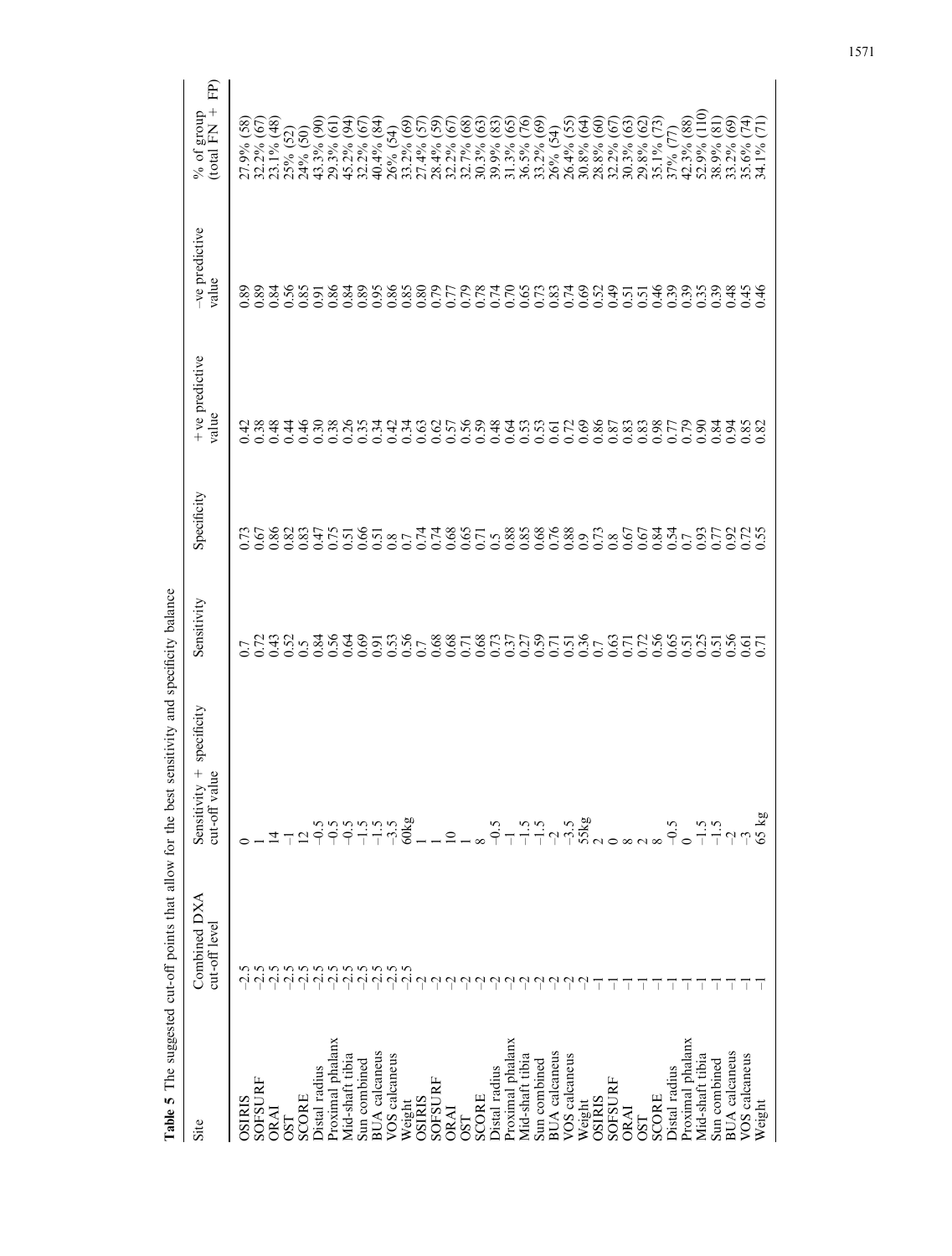|                      | Table 5 The suggested cut-off points that allow for the best | sensitivity and specificity balance                   |                       |                |                          |                                             |                                                                            |
|----------------------|--------------------------------------------------------------|-------------------------------------------------------|-----------------------|----------------|--------------------------|---------------------------------------------|----------------------------------------------------------------------------|
| Site                 | Combined DXA<br>cut-off level                                | specificity<br>$^{+}$<br>cut-off value<br>Sensitivity | Sensitivity           | Specificity    | + ve predictive<br>value | -ve predictive<br>value                     | Æ<br>$^{+}$<br>$\%$ of group (total FN $+$                                 |
| <b>OSIRIS</b>        | S                                                            |                                                       |                       | 0.73           |                          |                                             |                                                                            |
| SOFSURF              | $\ddot{\Omega}$                                              |                                                       |                       | 0.67           | 0.38                     | $\begin{array}{c} 0.89 \\ 0.89 \end{array}$ | 27.9% (58)<br>32.2% (67)                                                   |
| ORAI                 | $-2.5$                                                       | ュ                                                     |                       |                | 0.48                     |                                             |                                                                            |
| <b>CST</b>           | 2.5                                                          |                                                       |                       |                |                          |                                             |                                                                            |
| SCORE                | 2.5                                                          | $\overline{c}$                                        |                       |                |                          |                                             |                                                                            |
| Distal radius        | $-2.5$                                                       | $-0.5$                                                |                       |                | 00008                    |                                             |                                                                            |
| Proximal phalanx     | $-2.5$                                                       | $-0.5$                                                |                       |                |                          |                                             |                                                                            |
| Mid-shaft tibia      |                                                              | $-0.5$                                                |                       |                |                          |                                             |                                                                            |
| Sun combined         | 7.5999                                                       | $-1.5$<br>$-1.5$<br>$-5.5$                            |                       |                |                          |                                             |                                                                            |
| <b>BUA</b> calcaneus |                                                              |                                                       |                       |                |                          |                                             |                                                                            |
| VOS calcaneus        |                                                              |                                                       |                       |                |                          |                                             |                                                                            |
| Weight               |                                                              | 60kg                                                  |                       |                |                          |                                             |                                                                            |
| <b>OSIRIS</b>        | $-2.5$                                                       |                                                       |                       |                |                          |                                             |                                                                            |
| SOFSURF              | $\gamma$                                                     |                                                       |                       |                |                          |                                             |                                                                            |
| ORAI                 | $\gamma$                                                     | $\overline{10}$                                       |                       |                |                          |                                             |                                                                            |
| <b>OST</b>           | $\gamma$                                                     |                                                       |                       |                |                          |                                             |                                                                            |
| SCORE                | $\gamma$                                                     |                                                       |                       |                |                          |                                             |                                                                            |
| Distal radius        | Ņ                                                            | $-9.5$                                                |                       |                |                          |                                             |                                                                            |
| Proximal phalanx     | $\mathcal{C}$                                                |                                                       |                       |                |                          |                                             |                                                                            |
| Mid-shaft tibia      | $\tilde{c}$                                                  | $-1.5$                                                |                       |                |                          |                                             |                                                                            |
| Sun combined         | $\gamma$                                                     | $-1.5$                                                |                       |                |                          |                                             |                                                                            |
| <b>BUA</b> calcaneus | $\tilde{c}$                                                  | $\gamma$                                              |                       |                |                          |                                             |                                                                            |
| VOS calcaneus        | $\gamma$                                                     | $-3.5$                                                |                       |                |                          |                                             |                                                                            |
| Weight               |                                                              | 55kg                                                  |                       |                |                          |                                             |                                                                            |
| <b>OSIRIS</b>        | $\mathbf{I}$                                                 |                                                       |                       |                |                          |                                             |                                                                            |
| SOFSURF              |                                                              |                                                       |                       |                |                          |                                             |                                                                            |
| <b>ORAI</b>          |                                                              | $\infty$ $\sim$                                       |                       |                |                          |                                             |                                                                            |
| <b>OST</b>           |                                                              |                                                       |                       |                |                          |                                             |                                                                            |
| SCORE                |                                                              | $\infty$                                              |                       |                |                          |                                             |                                                                            |
| Distal radius        |                                                              | $-0.5$                                                |                       |                |                          |                                             | $\begin{array}{c} 35.1\% \ (73 \\ 37\% \ (77) \\ 42.3\% \ (88 \end{array}$ |
| Proximal phalanx     |                                                              | Ć                                                     |                       |                |                          |                                             | (88)                                                                       |
| Mid-shaft tibia      |                                                              | Ċ.                                                    |                       | 0.93           |                          |                                             | $\frac{1}{10}$<br>52.9%                                                    |
| Sun combined         | $\overline{\phantom{a}}$                                     | $-1.5$                                                |                       | 0.77           | 0.84                     | 0.39                                        | $\overline{81}$                                                            |
| <b>BUA</b> calcaneus | $\overline{1}$                                               | $\gamma$                                              | 5365<br>0.565<br>0.51 | $0.92$<br>0.72 | 0.94                     | 0.48                                        | (69)                                                                       |
| VOS calcaneus        |                                                              | $\gamma$                                              |                       |                | 0.82                     | 0.45                                        |                                                                            |
| Weight               |                                                              | $65 \text{ kg}$                                       |                       | 0.55           |                          | 6.46                                        | 34.1%                                                                      |
|                      |                                                              |                                                       |                       |                |                          |                                             |                                                                            |

1571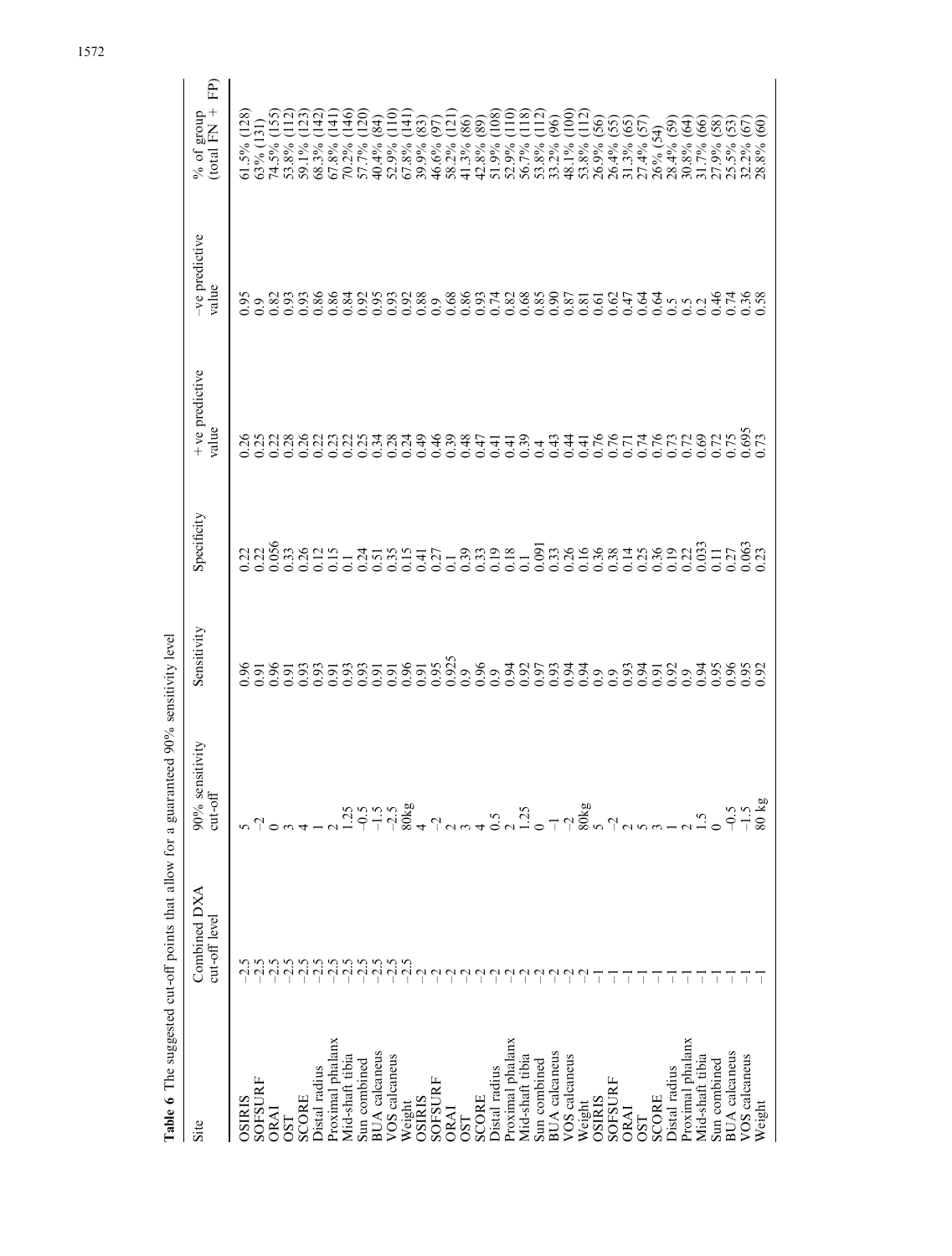<span id="page-7-0"></span>

|                      | Table 6 The suggested cut-off points that allow for a guaranteed 90% sensitivity level |                                                          |                                                    |                                                                                                                                                                                                                                                                                                     |                          |                         |                                                             |
|----------------------|----------------------------------------------------------------------------------------|----------------------------------------------------------|----------------------------------------------------|-----------------------------------------------------------------------------------------------------------------------------------------------------------------------------------------------------------------------------------------------------------------------------------------------------|--------------------------|-------------------------|-------------------------------------------------------------|
| Site                 | Combined DXA<br>cut-off level                                                          | 90% sensitivity<br>$\text{cut-off}$                      | Sensitivity                                        | Specificity                                                                                                                                                                                                                                                                                         | + ve predictive<br>value | -ve predictive<br>value | FP)<br>$\%$ of group total FN $+$                           |
| <b>OSIRIS</b>        |                                                                                        |                                                          |                                                    |                                                                                                                                                                                                                                                                                                     | 0.26                     |                         | (128)<br>61.5%                                              |
| SOFSURF              | -2.5<br>-2.5                                                                           |                                                          | 858553<br>000000                                   |                                                                                                                                                                                                                                                                                                     | 0.25                     |                         | 63% (131)                                                   |
| ORAI                 | $-2.5$                                                                                 |                                                          |                                                    |                                                                                                                                                                                                                                                                                                     | 0.22<br>0.28             |                         | (155)<br>74.5% (                                            |
| <b>CST</b>           |                                                                                        |                                                          |                                                    |                                                                                                                                                                                                                                                                                                     |                          |                         |                                                             |
| SCORE                |                                                                                        |                                                          |                                                    | 0.26                                                                                                                                                                                                                                                                                                | 0.26                     |                         | 123<br>59.1%                                                |
| Distal radius        | $-2.5$                                                                                 |                                                          |                                                    |                                                                                                                                                                                                                                                                                                     | 0.22                     |                         | 142<br>68.3%                                                |
| Proximal phalanx     | $-2.5$                                                                                 |                                                          |                                                    | 0.15                                                                                                                                                                                                                                                                                                | 0.23                     |                         | $\frac{141}{2}$<br>$67.8%$<br>$70.2%$<br>$57.7%$<br>$40.4%$ |
| Mid-shaft tibia      |                                                                                        |                                                          |                                                    |                                                                                                                                                                                                                                                                                                     | 0.225                    |                         | $\frac{146}{120}$                                           |
| Sun combined         | 7.5                                                                                    | $1.25$<br>$-1.5$<br>$-1.5$<br>$-1.5$<br>$-1.5$<br>$-1.5$ |                                                    | 0.24                                                                                                                                                                                                                                                                                                |                          |                         |                                                             |
| <b>BUA</b> calcaneus |                                                                                        |                                                          |                                                    | $0.51$<br>$0.35$                                                                                                                                                                                                                                                                                    | $0.34$<br>$0.28$         |                         | (84)                                                        |
| VOS calcaneus        | $-2.5$                                                                                 |                                                          |                                                    |                                                                                                                                                                                                                                                                                                     |                          |                         | $\overline{110}$                                            |
| Weight               |                                                                                        |                                                          |                                                    |                                                                                                                                                                                                                                                                                                     | 0.24                     |                         | $\overline{141}$                                            |
| <b>OSIRIS</b>        |                                                                                        |                                                          |                                                    | 0.41                                                                                                                                                                                                                                                                                                |                          |                         | (83)                                                        |
| SOFSURF              | $\frac{5}{11}$                                                                         |                                                          |                                                    | 0.27                                                                                                                                                                                                                                                                                                | $0.46$<br>$0.39$         |                         | 56)<br>$52.9%$<br>$67.8%$<br>$67.8%$<br>$46.6%$<br>$46.2%$  |
| <b>ORAI</b>          |                                                                                        |                                                          |                                                    |                                                                                                                                                                                                                                                                                                     |                          |                         | $\overline{21}$                                             |
| <b>OST</b>           | $\gamma$                                                                               |                                                          |                                                    |                                                                                                                                                                                                                                                                                                     | 0.48                     |                         | (86)                                                        |
| SCORE                |                                                                                        |                                                          |                                                    |                                                                                                                                                                                                                                                                                                     | 0.47                     |                         | $\left(89\right)$                                           |
| Distal radius        | $\gamma$                                                                               | 0.5                                                      |                                                    |                                                                                                                                                                                                                                                                                                     |                          |                         | $^{108}$                                                    |
| Proximal phalanx     |                                                                                        |                                                          | 30503309930993<br>30509999999999<br>20000000000000 | $\begin{array}{c} 33.33 \\ 0.331 \\ 0.000 \\ 0.000 \\ 0.000 \\ 0.000 \\ 0.000 \\ 0.000 \\ 0.000 \\ 0.000 \\ 0.000 \\ 0.000 \\ 0.000 \\ 0.000 \\ 0.000 \\ 0.000 \\ 0.000 \\ 0.000 \\ 0.000 \\ 0.000 \\ 0.000 \\ 0.000 \\ 0.000 \\ 0.000 \\ 0.000 \\ 0.000 \\ 0.000 \\ 0.000 \\ 0.000 \\ 0.000 \\ 0.$ | 0.41                     |                         | $\frac{1}{10}$                                              |
| Mid-shaft tibia      |                                                                                        | 1.25                                                     |                                                    |                                                                                                                                                                                                                                                                                                     | 0.39                     |                         | $\frac{118}{2}$                                             |
| Sun combined         |                                                                                        |                                                          |                                                    |                                                                                                                                                                                                                                                                                                     | 0.4                      |                         | $\overline{112}$                                            |
| <b>BUA</b> calcaneus |                                                                                        |                                                          |                                                    |                                                                                                                                                                                                                                                                                                     | 0.43                     |                         | (96)                                                        |
| VOS calcaneus        |                                                                                        |                                                          |                                                    | 8988188                                                                                                                                                                                                                                                                                             | 0.44                     |                         |                                                             |
| Weight               |                                                                                        | 80kg                                                     |                                                    |                                                                                                                                                                                                                                                                                                     | 0.41                     |                         | $\frac{1}{2}$                                               |
| <b>OSIRIS</b>        |                                                                                        |                                                          |                                                    |                                                                                                                                                                                                                                                                                                     |                          |                         | (55)<br>(55)                                                |
| SOFSURF              |                                                                                        |                                                          |                                                    |                                                                                                                                                                                                                                                                                                     |                          |                         |                                                             |
| <b>ORAI</b>          |                                                                                        |                                                          |                                                    |                                                                                                                                                                                                                                                                                                     |                          |                         | (65)                                                        |
| <b>CST</b>           |                                                                                        |                                                          |                                                    |                                                                                                                                                                                                                                                                                                     |                          |                         | (57)                                                        |
| SCORE                |                                                                                        |                                                          |                                                    |                                                                                                                                                                                                                                                                                                     |                          |                         | 26% (54)                                                    |
| Distal radius        |                                                                                        |                                                          |                                                    | 0.19                                                                                                                                                                                                                                                                                                |                          | 0.500                   |                                                             |
| Proximal phalanx     |                                                                                        |                                                          |                                                    |                                                                                                                                                                                                                                                                                                     |                          |                         |                                                             |
| Mid-shaft tibia      | $\mathbf{I}$                                                                           |                                                          |                                                    | $0.22$<br>$0.033$<br>$0.11$                                                                                                                                                                                                                                                                         | 0.69                     |                         | 28.4% (59)<br>30.8% (64)<br>31.7% (66)                      |
| Sun combined         | T                                                                                      |                                                          |                                                    |                                                                                                                                                                                                                                                                                                     | 0.72                     | 0.46                    | (58)<br>27.9% (                                             |
| <b>BUA</b> calcaneus | $\overline{\phantom{a}}$                                                               | $-0.5$                                                   |                                                    |                                                                                                                                                                                                                                                                                                     | $\frac{0.75}{0.695}$     | 0.74                    | $\left(5\right)$                                            |
| VOS calcaneus        |                                                                                        | $-1.5$                                                   | 38632<br>00000                                     | $\begin{array}{c} 0.27 \\ 1.063 \\ 1.23 \end{array}$                                                                                                                                                                                                                                                |                          | $0.36$<br>$0.58$        | $\overline{67}$<br>25.5%<br>32.2%<br>28.8%                  |
| Weight               |                                                                                        | $80\ \mathrm{kg}$                                        |                                                    |                                                                                                                                                                                                                                                                                                     | 0.73                     |                         | (60)                                                        |
|                      |                                                                                        |                                                          |                                                    |                                                                                                                                                                                                                                                                                                     |                          |                         |                                                             |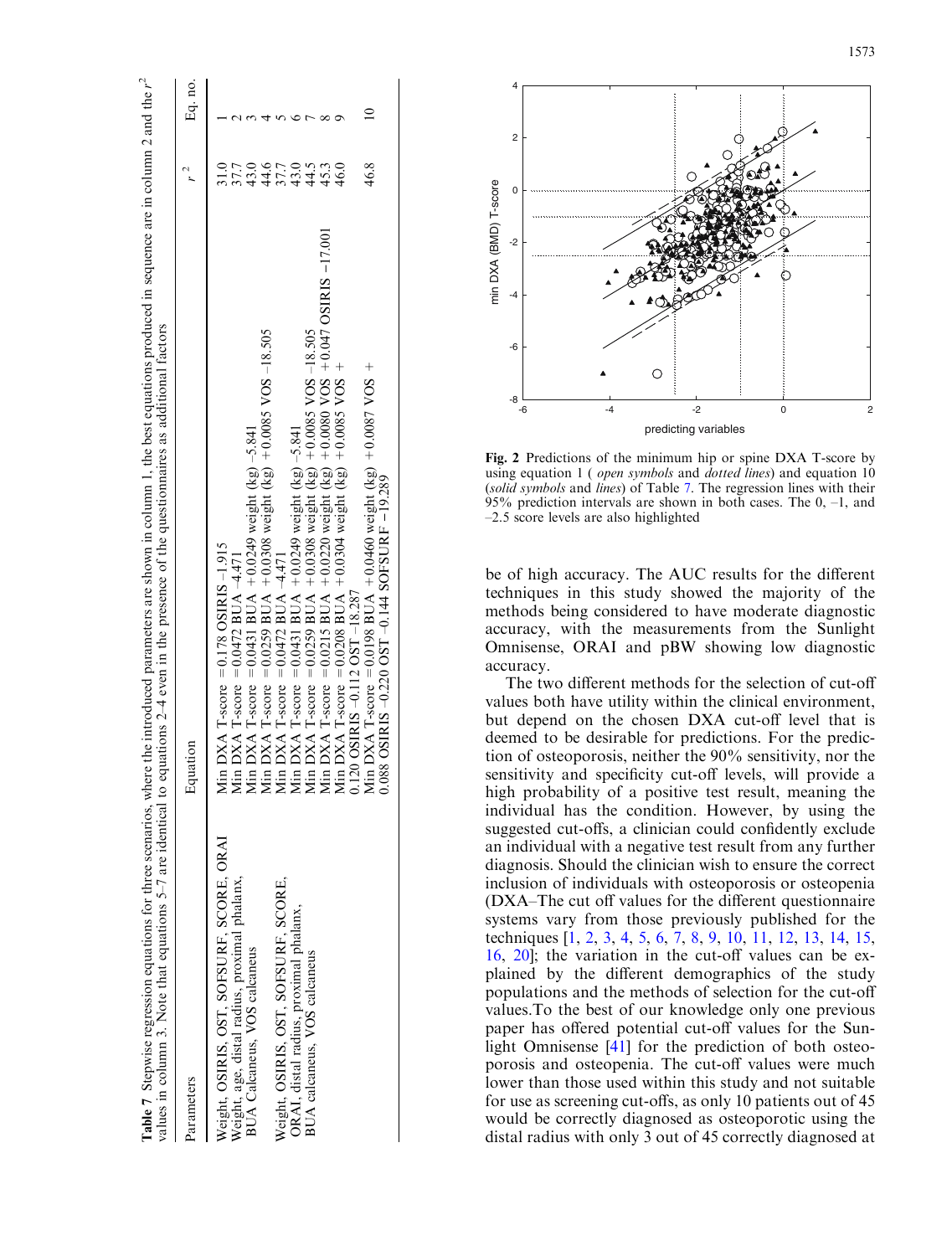<span id="page-8-0"></span>

| --------            |                     |  |
|---------------------|---------------------|--|
|                     |                     |  |
|                     |                     |  |
|                     |                     |  |
|                     |                     |  |
|                     |                     |  |
|                     |                     |  |
|                     |                     |  |
|                     |                     |  |
|                     |                     |  |
|                     |                     |  |
|                     |                     |  |
|                     |                     |  |
|                     | ì<br>ł<br>ļ         |  |
|                     |                     |  |
|                     |                     |  |
|                     |                     |  |
|                     |                     |  |
|                     |                     |  |
|                     |                     |  |
| r<br>C              |                     |  |
|                     |                     |  |
|                     | じゅうしゅ               |  |
| anin oolumni tha he |                     |  |
|                     |                     |  |
|                     |                     |  |
|                     | こくこく                |  |
|                     |                     |  |
|                     | א מנוס גט           |  |
|                     |                     |  |
|                     |                     |  |
|                     |                     |  |
| くくちく こうくそく くうくうく    |                     |  |
|                     |                     |  |
|                     |                     |  |
|                     |                     |  |
|                     |                     |  |
|                     |                     |  |
|                     | $s \ge -4$ even $r$ |  |
|                     |                     |  |
|                     |                     |  |
|                     |                     |  |
|                     |                     |  |
|                     |                     |  |
|                     |                     |  |
|                     |                     |  |
| <b>פיים</b><br>j    | ì                   |  |
| ֦֧֪֚֡֡֡֡֡֡֡֡֡       |                     |  |
|                     |                     |  |
|                     |                     |  |
|                     |                     |  |
|                     |                     |  |
|                     |                     |  |
|                     |                     |  |
|                     |                     |  |
|                     |                     |  |
|                     |                     |  |
| ļ                   |                     |  |
|                     |                     |  |
|                     |                     |  |
|                     |                     |  |
|                     |                     |  |
|                     |                     |  |
|                     |                     |  |
|                     |                     |  |
|                     |                     |  |
|                     | --------            |  |
|                     |                     |  |
|                     |                     |  |
|                     |                     |  |
|                     |                     |  |
| :                   |                     |  |
|                     |                     |  |

| arameters                                     | Equation                                                                          |                 | Eq. no. |
|-----------------------------------------------|-----------------------------------------------------------------------------------|-----------------|---------|
| Veight, OSIRIS, OST, SOFSURF, SCORE, ORAI     | Min DXA T-score = $0.178$ OSIRIS -1.915                                           |                 |         |
| Veight, age, distal radius, proximal phalanx, | Min DXA T-score = $0.0472$ BUA -4.471                                             |                 |         |
| BUA Calcaneus, VOS calcaneus                  | Min DXA T-score = 0.0431 BUA + 0.0249 weight (kg) -5.841                          | s<br>2244244444 |         |
|                                               | Min DXA T-score = 0.0259 BUA + 0.0308 weight (kg) + 0.0085 VOS -18.505            |                 |         |
| Veight, OSIRIS, OST, SOFSURF, SCORE,          | Min DXA T-score = $0.0472$ BUA $-4.471$                                           |                 |         |
| ORAI, distal radius, proximal phalanx,        | Min DXA T-score = 0.0431 BUA + 0.0249 weight (kg) -5.841                          |                 |         |
| BUA calcaneus, VOS calcaneus                  | Min DXA T-score = 0.0259 BUA + 0.0308 weight (kg) + 0.085 VOS -18.505             |                 |         |
|                                               | Viin DXA T-score = 0.0215 BUA + 0.0220 weight (kg) + 0.080 VOS + 0.051RIS -17.001 |                 |         |
|                                               | Viin DXA T-score = 0.0208 BUA + 0.0304 weight (kg) + 0.0085 VOS                   |                 |         |
|                                               | 0.120 OSIRIS -0.112 OST -18.287                                                   |                 |         |
|                                               | Min DXA T-score = 0.0198 BUA + 0.0460 weight (kg) + 0.087 VOS +                   | 46.8            |         |
|                                               | 0.088 OSIRIS -0.220 OST -0.144 SOFSURF -19.289                                    |                 |         |



Fig. 2 Predictions of the minimum hip or spine DXA T-score by using equation 1 ( *open symbols* and  $\hat{d}$ *otted lines*) and equation 10 (solid symbols and lines) of Table 7. The regression lines with their 95% prediction intervals are shown in both cases. The 0, –1, and –2.5 score levels are also highlighted

be of high accuracy. The AUC results for the different techniques in this study showed the majority of the methods being considered to have moderate diagnostic accuracy, with the measurements from the Sunlight Omnisense, ORAI and pBW showing low diagnostic accuracy.

The two different methods for the selection of cut-off values both have utility within the clinical environment, but depend on the chosen DXA cut-off level that is deemed to be desirable for predictions. For the prediction of osteoporosis, neither the 90% sensitivity, nor the sensitivity and specificity cut-off levels, will provide a high probability of a positive test result, meaning the individual has the condition. However, by using the suggested cut-offs, a clinician could confidently exclude an individual with a negative test result from any further diagnosis. Should the clinician wish to ensure the correct inclusion of individuals with osteoporosis or osteopenia (DXA–The cut off values for the different questionnaire systems vary from those previously published for the techniques [[1](#page-9-0), [2](#page-9-0), [3](#page-9-0), [4](#page-9-0), [5](#page-9-0), [6](#page-9-0), [7](#page-9-0), [8](#page-9-0), [9](#page-9-0), [10](#page-9-0), [11](#page-9-0), [12](#page-9-0), [13](#page-9-0), [14](#page-9-0), [15](#page-9-0), [16](#page-9-0) , [20](#page-9-0)]; the variation in the cut-off values can be explained by the different demographics of the study populations and the methods of selection for the cut-off values.To the best of our knowledge only one previous paper has offered potential cut-off values for the Sunlight Omnisense [\[41\]](#page-10-0) for the prediction of both osteoporosis and osteopenia. The cut-off values were much lower than those used within this study and not suitable for use as screening cut-offs, as only 10 patients out of 45 would be correctly diagnosed as osteoporotic using the Fig. 2 Predictions of the minimum hip or spine DXA T-score by<br>using equation 1 (*open symbols* and *doted lines*) and equation 10<br>(solid symbols and *dineed lines*). The regression lines with their<br>-2.5 score levels are a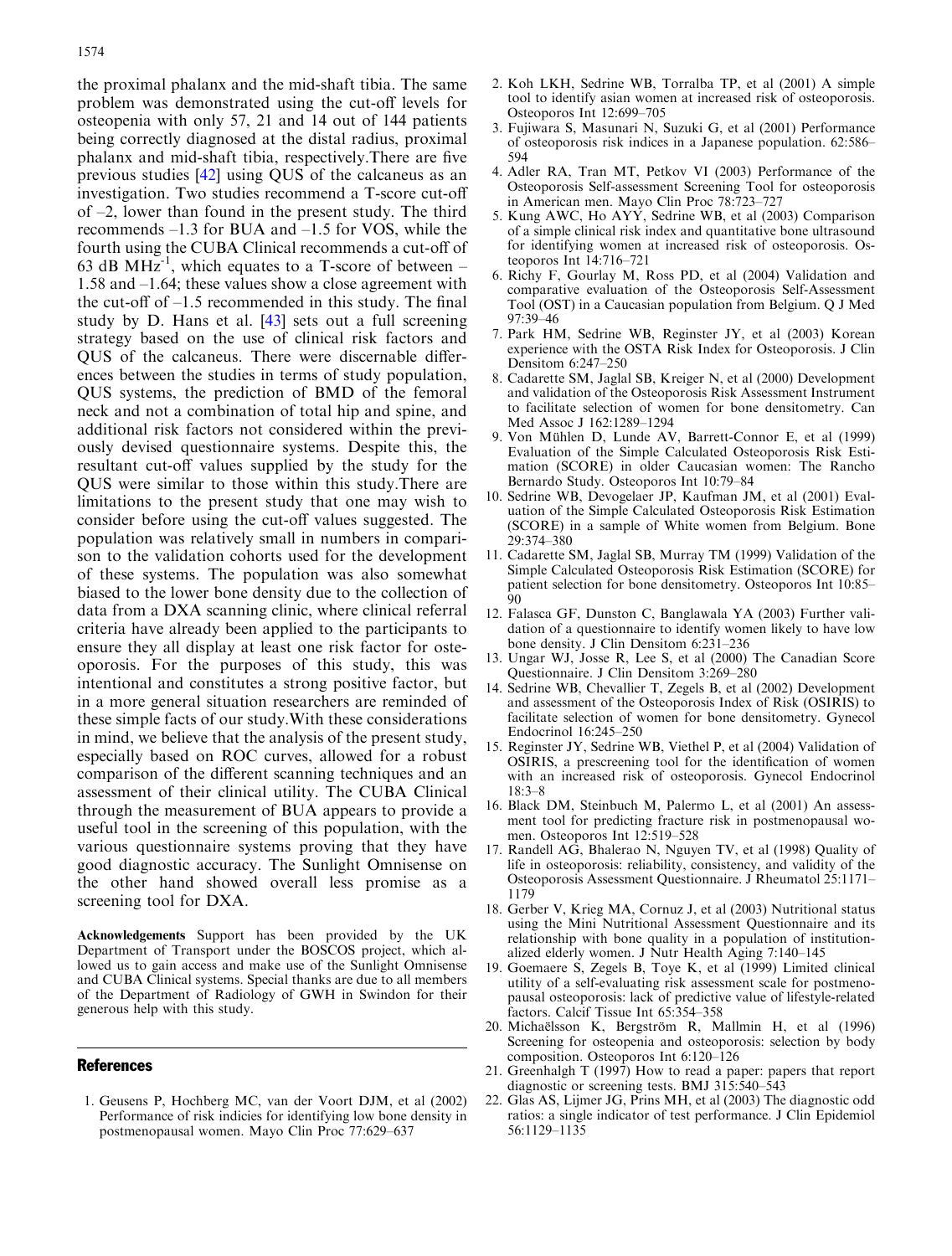<span id="page-9-0"></span>the proximal phalanx and the mid-shaft tibia. The same problem was demonstrated using the cut-off levels for osteopenia with only 57, 21 and 14 out of 144 patients being correctly diagnosed at the distal radius, proximal phalanx and mid-shaft tibia, respectively.There are five previous studies [[42](#page-10-0)] using QUS of the calcaneus as an investigation. Two studies recommend a T-score cut-off of –2, lower than found in the present study. The third recommends –1.3 for BUA and –1.5 for VOS, while the fourth using the CUBA Clinical recommends a cut-off of 63 dB MHz<sup>-1</sup>, which equates to a T-score of between – 1.58 and –1.64; these values show a close agreement with the cut-off of –1.5 recommended in this study. The final study by D. Hans et al. [[43\]](#page-10-0) sets out a full screening strategy based on the use of clinical risk factors and QUS of the calcaneus. There were discernable differences between the studies in terms of study population, QUS systems, the prediction of BMD of the femoral neck and not a combination of total hip and spine, and additional risk factors not considered within the previously devised questionnaire systems. Despite this, the resultant cut-off values supplied by the study for the QUS were similar to those within this study.There are limitations to the present study that one may wish to consider before using the cut-off values suggested. The population was relatively small in numbers in comparison to the validation cohorts used for the development of these systems. The population was also somewhat biased to the lower bone density due to the collection of data from a DXA scanning clinic, where clinical referral criteria have already been applied to the participants to ensure they all display at least one risk factor for osteoporosis. For the purposes of this study, this was intentional and constitutes a strong positive factor, but in a more general situation researchers are reminded of these simple facts of our study.With these considerations in mind, we believe that the analysis of the present study, especially based on ROC curves, allowed for a robust comparison of the different scanning techniques and an assessment of their clinical utility. The CUBA Clinical through the measurement of BUA appears to provide a useful tool in the screening of this population, with the various questionnaire systems proving that they have good diagnostic accuracy. The Sunlight Omnisense on the other hand showed overall less promise as a screening tool for DXA.

Acknowledgements Support has been provided by the UK Department of Transport under the BOSCOS project, which allowed us to gain access and make use of the Sunlight Omnisense and CUBA Clinical systems. Special thanks are due to all members of the Department of Radiology of GWH in Swindon for their generous help with this study.

#### References

1. Geusens P, Hochberg MC, van der Voort DJM, et al (2002) Performance of risk indicies for identifying low bone density in postmenopausal women. Mayo Clin Proc 77:629–637

- 2. Koh LKH, Sedrine WB, Torralba TP, et al (2001) A simple tool to identify asian women at increased risk of osteoporosis. Osteoporos Int 12:699–705
- 3. Fujiwara S, Masunari N, Suzuki G, et al (2001) Performance of osteoporosis risk indices in a Japanese population. 62:586– 594
- 4. Adler RA, Tran MT, Petkov VI (2003) Performance of the Osteoporosis Self-assessment Screening Tool for osteoporosis in American men. Mayo Clin Proc 78:723–727
- 5. Kung AWC, Ho AYY, Sedrine WB, et al (2003) Comparison of a simple clinical risk index and quantitative bone ultrasound for identifying women at increased risk of osteoporosis. Osteoporos Int 14:716–721
- 6. Richy F, Gourlay M, Ross PD, et al (2004) Validation and comparative evaluation of the Osteoporosis Self-Assessment Tool (OST) in a Caucasian population from Belgium. Q J Med 97:39–46
- 7. Park HM, Sedrine WB, Reginster JY, et al (2003) Korean experience with the OSTA Risk Index for Osteoporosis. J Clin Densitom 6:247–250
- 8. Cadarette SM, Jaglal SB, Kreiger N, et al (2000) Development and validation of the Osteoporosis Risk Assessment Instrument to facilitate selection of women for bone densitometry. Can Med Assoc J 162:1289–1294
- 9. Von Mühlen D, Lunde AV, Barrett-Connor E, et al (1999) Evaluation of the Simple Calculated Osteoporosis Risk Estimation (SCORE) in older Caucasian women: The Rancho Bernardo Study. Osteoporos Int 10:79–84
- 10. Sedrine WB, Devogelaer JP, Kaufman JM, et al (2001) Evaluation of the Simple Calculated Osteoporosis Risk Estimation (SCORE) in a sample of White women from Belgium. Bone 29:374–380
- 11. Cadarette SM, Jaglal SB, Murray TM (1999) Validation of the Simple Calculated Osteoporosis Risk Estimation (SCORE) for patient selection for bone densitometry. Osteoporos Int 10:85– 90
- 12. Falasca GF, Dunston C, Banglawala YA (2003) Further validation of a questionnaire to identify women likely to have low bone density. J Clin Densitom 6:231–236
- 13. Ungar WJ, Josse R, Lee S, et al (2000) The Canadian Score Questionnaire. J Clin Densitom 3:269–280
- 14. Sedrine WB, Chevallier T, Zegels B, et al (2002) Development and assessment of the Osteoporosis Index of Risk (OSIRIS) to facilitate selection of women for bone densitometry. Gynecol Endocrinol 16:245–250
- 15. Reginster JY, Sedrine WB, Viethel P, et al (2004) Validation of OSIRIS, a prescreening tool for the identification of women with an increased risk of osteoporosis. Gynecol Endocrinol 18:3–8
- 16. Black DM, Steinbuch M, Palermo L, et al (2001) An assessment tool for predicting fracture risk in postmenopausal women. Osteoporos Int 12:519–528
- 17. Randell AG, Bhalerao N, Nguyen TV, et al (1998) Quality of life in osteoporosis: reliability, consistency, and validity of the Osteoporosis Assessment Questionnaire. J Rheumatol 25:1171– 1179
- 18. Gerber V, Krieg MA, Cornuz J, et al (2003) Nutritional status using the Mini Nutritional Assessment Questionnaire and its relationship with bone quality in a population of institutionalized elderly women. J Nutr Health Aging 7:140–145
- 19. Goemaere S, Zegels B, Toye K, et al (1999) Limited clinical utility of a self-evaluating risk assessment scale for postmenopausal osteoporosis: lack of predictive value of lifestyle-related factors. Calcif Tissue Int 65:354–358
- 20. Michaëlsson K, Bergström R, Mallmin H, et al (1996) Screening for osteopenia and osteoporosis: selection by body composition. Osteoporos Int 6:120–126
- 21. Greenhalgh T (1997) How to read a paper: papers that report diagnostic or screening tests. BMJ 315:540–543
- 22. Glas AS, Lijmer JG, Prins MH, et al (2003) The diagnostic odd ratios: a single indicator of test performance. J Clin Epidemiol 56:1129–1135